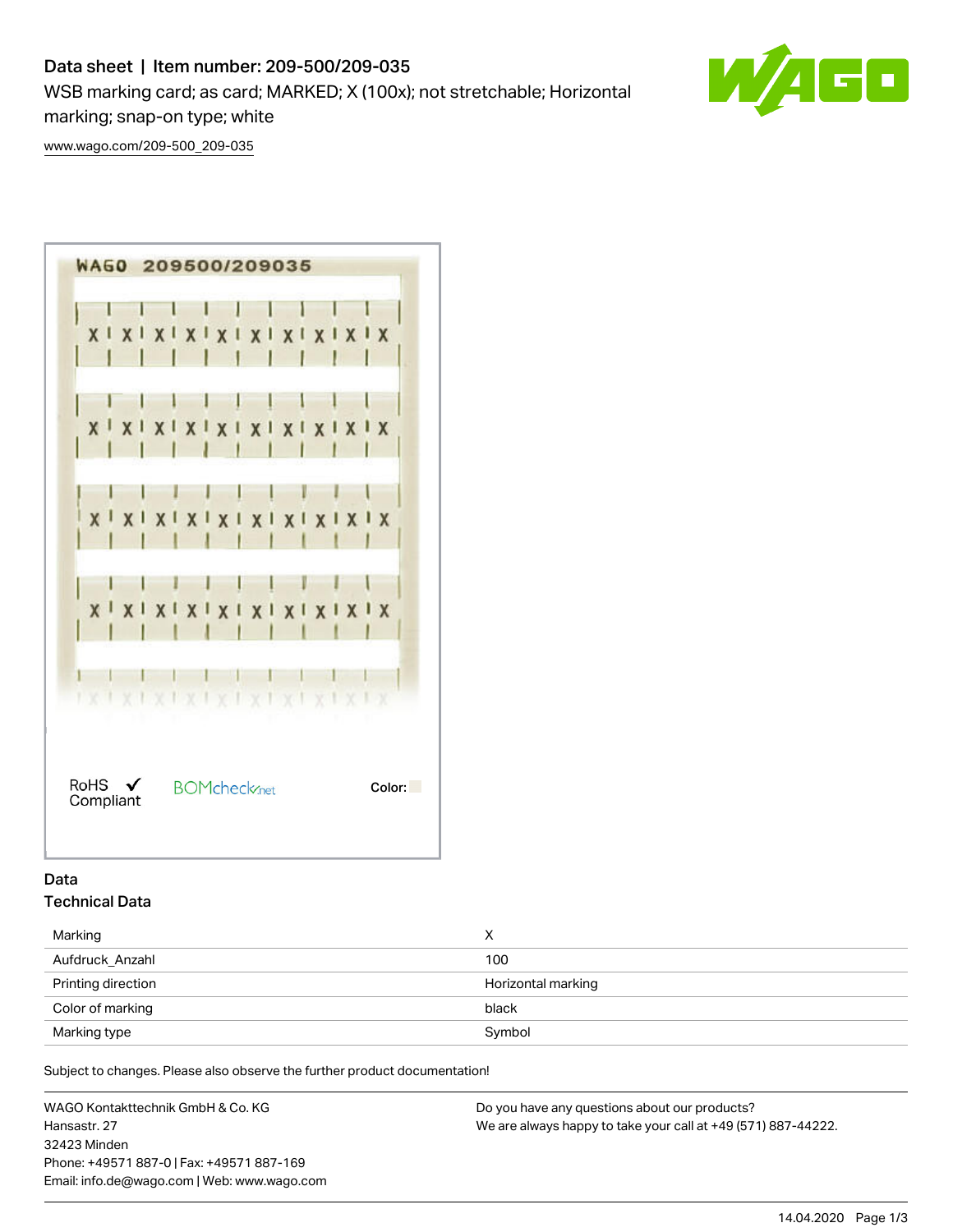# Data sheet | Item number: 209-500/209-035

WSB marking card; as card; MARKED; X (100x); not stretchable; Horizontal marking; snap-on type; white

50

[www.wago.com/209-500\\_209-035](http://www.wago.com/209-500_209-035)



# Data Technical Data

| Marking            | х                  |  |
|--------------------|--------------------|--|
| Aufdruck Anzahl    | 100                |  |
| Printing direction | Horizontal marking |  |
| Color of marking   | black              |  |
| Marking type       | Symbol             |  |

Subject to changes. Please also observe the further product documentation!

WAGO Kontakttechnik GmbH & Co. KG Hansastr. 27 32423 Minden Phone: +49571 887-0 | Fax: +49571 887-169 Email: info.de@wago.com | Web: www.wago.com

Do you have any questions about our products? We are always happy to take your call at +49 (571) 887-44222.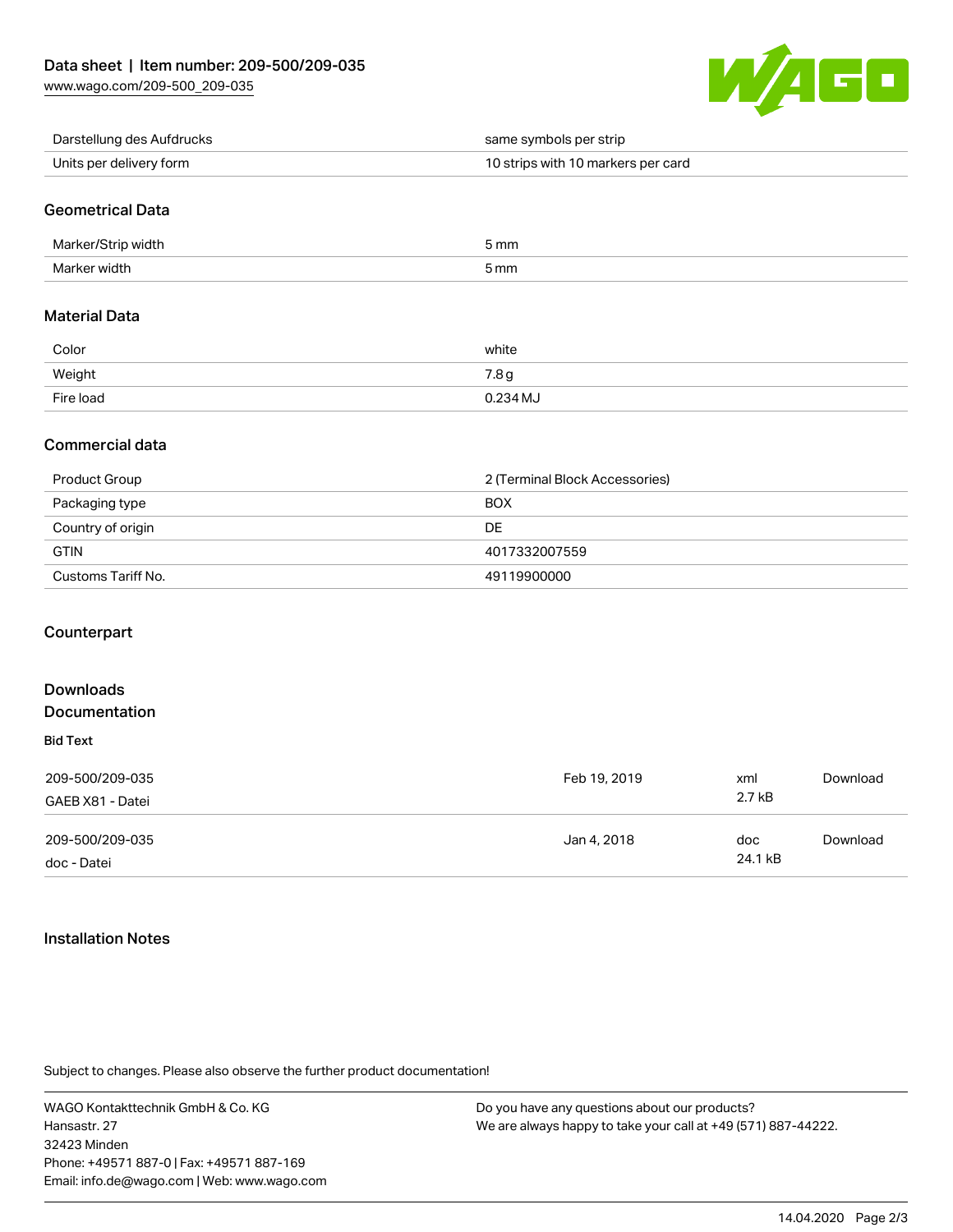

| Darstellung des Aufdrucks | same symbols per strip             |
|---------------------------|------------------------------------|
| Units per delivery form   | 10 strips with 10 markers per card |

## Geometrical Data

| Marke<br>width | 5 mm |
|----------------|------|
| Marker width   | 5 mm |

#### Material Data

| Color     | white            |
|-----------|------------------|
| Weight    | 7.8 <sub>g</sub> |
| Fire load | 0.234 MJ         |

### Commercial data

| Product Group      | 2 (Terminal Block Accessories) |  |
|--------------------|--------------------------------|--|
| Packaging type     | <b>BOX</b>                     |  |
| Country of origin  | DE                             |  |
| <b>GTIN</b>        | 4017332007559                  |  |
| Customs Tariff No. | 49119900000                    |  |

### **Counterpart**

| <b>Downloads</b><br><b>Documentation</b> |              |         |          |
|------------------------------------------|--------------|---------|----------|
| <b>Bid Text</b>                          |              |         |          |
| 209-500/209-035                          | Feb 19, 2019 | xml     | Download |
| GAEB X81 - Datei                         |              | 2.7 kB  |          |
| 209-500/209-035                          | Jan 4, 2018  | doc     | Download |
| doc - Datei                              |              | 24.1 kB |          |

#### Installation Notes

Subject to changes. Please also observe the further product documentation!

WAGO Kontakttechnik GmbH & Co. KG Hansastr. 27 32423 Minden Phone: +49571 887-0 | Fax: +49571 887-169 Email: info.de@wago.com | Web: www.wago.com

Do you have any questions about our products? We are always happy to take your call at +49 (571) 887-44222.